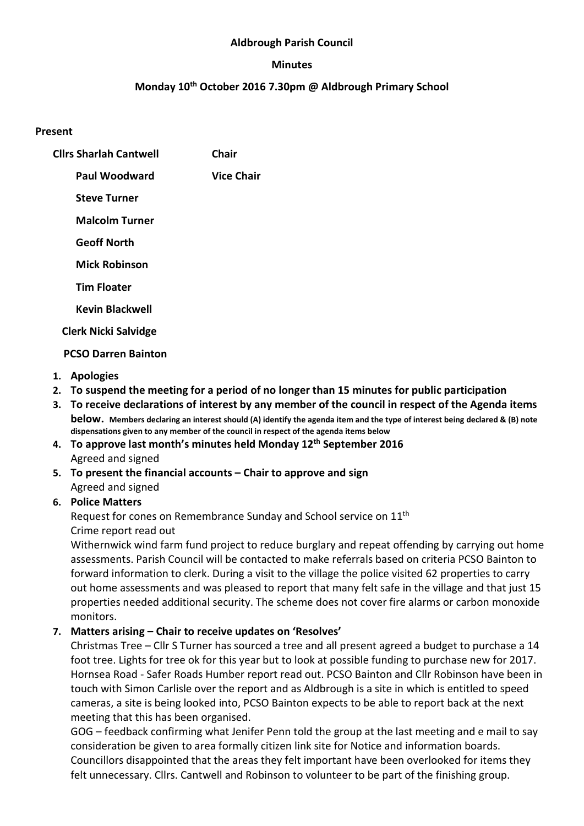#### Aldbrough Parish Council

#### Minutes

## Monday 10<sup>th</sup> October 2016 7.30pm @ Aldbrough Primary School

#### Present

| <b>Clirs Sharlah Cantwell</b> | Chair             |
|-------------------------------|-------------------|
| Paul Woodward                 | <b>Vice Chair</b> |
| <b>Steve Turner</b>           |                   |
| <b>Malcolm Turner</b>         |                   |
| <b>Geoff North</b>            |                   |
| <b>Mick Robinson</b>          |                   |
| <b>Tim Floater</b>            |                   |
| <b>Kevin Blackwell</b>        |                   |
| <b>Clerk Nicki Salvidge</b>   |                   |

#### PCSO Darren Bainton

- 1. Apologies
- 2. To suspend the meeting for a period of no longer than 15 minutes for public participation
- 3. To receive declarations of interest by any member of the council in respect of the Agenda items below. Members declaring an interest should (A) identify the agenda item and the type of interest being declared & (B) note dispensations given to any member of the council in respect of the agenda items below
- 4. To approve last month's minutes held Monday 12<sup>th</sup> September 2016 Agreed and signed
- 5. To present the financial accounts Chair to approve and sign Agreed and signed

## 6. Police Matters

Request for cones on Remembrance Sunday and School service on 11th Crime report read out

Withernwick wind farm fund project to reduce burglary and repeat offending by carrying out home assessments. Parish Council will be contacted to make referrals based on criteria PCSO Bainton to forward information to clerk. During a visit to the village the police visited 62 properties to carry out home assessments and was pleased to report that many felt safe in the village and that just 15 properties needed additional security. The scheme does not cover fire alarms or carbon monoxide monitors.

## 7. Matters arising – Chair to receive updates on 'Resolves'

Christmas Tree – Cllr S Turner has sourced a tree and all present agreed a budget to purchase a 14 foot tree. Lights for tree ok for this year but to look at possible funding to purchase new for 2017. Hornsea Road - Safer Roads Humber report read out. PCSO Bainton and Cllr Robinson have been in touch with Simon Carlisle over the report and as Aldbrough is a site in which is entitled to speed cameras, a site is being looked into, PCSO Bainton expects to be able to report back at the next meeting that this has been organised.

GOG – feedback confirming what Jenifer Penn told the group at the last meeting and e mail to say consideration be given to area formally citizen link site for Notice and information boards. Councillors disappointed that the areas they felt important have been overlooked for items they felt unnecessary. Cllrs. Cantwell and Robinson to volunteer to be part of the finishing group.